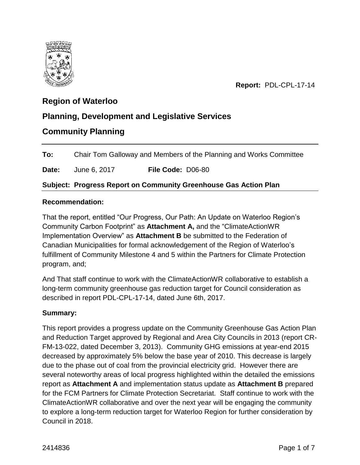

**Report:** PDL-CPL-17-14

# **Region of Waterloo**

## **Planning, Development and Legislative Services**

## **Community Planning**

**To:** Chair Tom Galloway and Members of the Planning and Works Committee

**Date:** June 6, 2017 **File Code:** D06-80

### **Subject: Progress Report on Community Greenhouse Gas Action Plan**

#### **Recommendation:**

That the report, entitled "Our Progress, Our Path: An Update on Waterloo Region's Community Carbon Footprint" as **Attachment A,** and the "ClimateActionWR Implementation Overview" as **Attachment B** be submitted to the Federation of Canadian Municipalities for formal acknowledgement of the Region of Waterloo's fulfillment of Community Milestone 4 and 5 within the Partners for Climate Protection program, and;

And That staff continue to work with the ClimateActionWR collaborative to establish a long-term community greenhouse gas reduction target for Council consideration as described in report PDL-CPL-17-14, dated June 6th, 2017.

### **Summary:**

This report provides a progress update on the Community Greenhouse Gas Action Plan and Reduction Target approved by Regional and Area City Councils in 2013 (report CR-FM-13-022, dated December 3, 2013). Community GHG emissions at year-end 2015 decreased by approximately 5% below the base year of 2010. This decrease is largely due to the phase out of coal from the provincial electricity grid. However there are several noteworthy areas of local progress highlighted within the detailed the emissions report as **Attachment A** and implementation status update as **Attachment B** prepared for the FCM Partners for Climate Protection Secretariat. Staff continue to work with the ClimateActionWR collaborative and over the next year will be engaging the community to explore a long-term reduction target for Waterloo Region for further consideration by Council in 2018.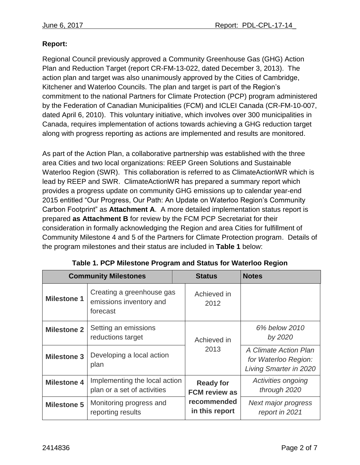### **Report:**

Regional Council previously approved a Community Greenhouse Gas (GHG) Action Plan and Reduction Target (report CR-FM-13-022, dated December 3, 2013). The action plan and target was also unanimously approved by the Cities of Cambridge, Kitchener and Waterloo Councils. The plan and target is part of the Region's commitment to the national Partners for Climate Protection (PCP) program administered by the Federation of Canadian Municipalities (FCM) and ICLEI Canada (CR-FM-10-007, dated April 6, 2010). This voluntary initiative, which involves over 300 municipalities in Canada, requires implementation of actions towards achieving a GHG reduction target along with progress reporting as actions are implemented and results are monitored.

As part of the Action Plan, a collaborative partnership was established with the three area Cities and two local organizations: REEP Green Solutions and Sustainable Waterloo Region (SWR). This collaboration is referred to as ClimateActionWR which is lead by REEP and SWR. ClimateActionWR has prepared a summary report which provides a progress update on community GHG emissions up to calendar year-end 2015 entitled "Our Progress, Our Path: An Update on Waterloo Region's Community Carbon Footprint" as **Attachment A**. A more detailed implementation status report is prepared **as Attachment B** for review by the FCM PCP Secretariat for their consideration in formally acknowledging the Region and area Cities for fulfillment of Community Milestone 4 and 5 of the Partners for Climate Protection program. Details of the program milestones and their status are included in **Table 1** below:

| <b>Community Milestones</b> |                                                                  | <b>Status</b> |                                                                           | <b>Notes</b>                                                                   |
|-----------------------------|------------------------------------------------------------------|---------------|---------------------------------------------------------------------------|--------------------------------------------------------------------------------|
| <b>Milestone 1</b>          | Creating a greenhouse gas<br>emissions inventory and<br>forecast |               | Achieved in<br>2012                                                       |                                                                                |
| <b>Milestone 2</b>          | Setting an emissions<br>reductions target                        |               | Achieved in                                                               | 6% below 2010<br>by 2020                                                       |
| <b>Milestone 3</b>          | Developing a local action<br>plan                                |               | 2013                                                                      | A Climate Action Plan<br>for Waterloo Region:<br><b>Living Smarter in 2020</b> |
| <b>Milestone 4</b>          | Implementing the local action<br>plan or a set of activities     |               | <b>Ready for</b><br><b>FCM review as</b><br>recommended<br>in this report | Activities ongoing<br>through 2020                                             |
| <b>Milestone 5</b>          | Monitoring progress and<br>reporting results                     |               |                                                                           | Next major progress<br>report in 2021                                          |

**Table 1. PCP Milestone Program and Status for Waterloo Region**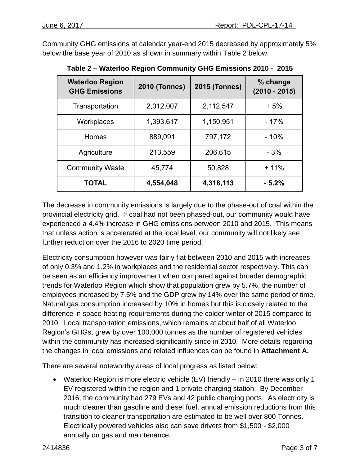Community GHG emissions at calendar year-end 2015 decreased by approximately 5% below the base year of 2010 as shown in summary within Table 2 below.

| <b>Waterloo Region</b><br><b>GHG Emissions</b> | <b>2010 (Tonnes)</b> | <b>2015 (Tonnes)</b> | % change<br>$(2010 - 2015)$ |
|------------------------------------------------|----------------------|----------------------|-----------------------------|
| Transportation                                 | 2,012,007            | 2,112,547            | $+5%$                       |
| Workplaces                                     | 1,393,617            | 1,150,951            | $-17%$                      |
| Homes                                          | 889,091              | 797,172              | $-10%$                      |
| Agriculture                                    | 213,559              | 206,615              | $-3%$                       |
| <b>Community Waste</b>                         | 45,774               | 50,828               | $+11%$                      |
| <b>TOTAL</b>                                   | 4,554,048            | 4,318,113            | $-5.2%$                     |

**Table 2 – Waterloo Region Community GHG Emissions 2010 - 2015**

The decrease in community emissions is largely due to the phase-out of coal within the provincial electricity grid. If coal had not been phased-out, our community would have experienced a 4.4% increase in GHG emissions between 2010 and 2015. This means that unless action is accelerated at the local level, our community will not likely see further reduction over the 2016 to 2020 time period.

Electricity consumption however was fairly flat between 2010 and 2015 with increases of only 0.3% and 1.2% in workplaces and the residential sector respectively. This can be seen as an efficiency improvement when compared against broader demographic trends for Waterloo Region which show that population grew by 5.7%, the number of employees increased by 7.5% and the GDP grew by 14% over the same period of time. Natural gas consumption increased by 10% in homes but this is closely related to the difference in space heating requirements during the colder winter of 2015 compared to 2010. Local transportation emissions, which remains at about half of all Waterloo Region's GHGs, grew by over 100,000 tonnes as the number of registered vehicles within the community has increased significantly since in 2010. More details regarding the changes in local emissions and related influences can be found in **Attachment A.** 

There are several noteworthy areas of local progress as listed below:

 Waterloo Region is more electric vehicle (EV) friendly – In 2010 there was only 1 EV registered within the region and 1 private charging station. By December 2016, the community had 279 EVs and 42 public charging ports. As electricity is much cleaner than gasoline and diesel fuel, annual emission reductions from this transition to cleaner transportation are estimated to be well over 800 Tonnes. Electrically powered vehicles also can save drivers from \$1,500 - \$2,000 annually on gas and maintenance.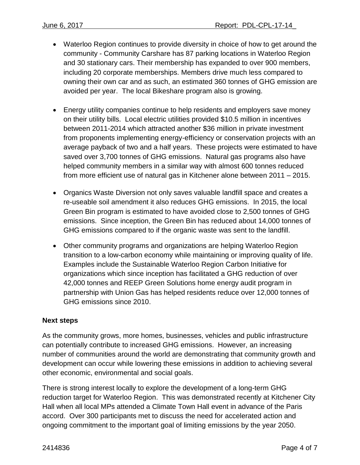- Waterloo Region continues to provide diversity in choice of how to get around the community - Community Carshare has 87 parking locations in Waterloo Region and 30 stationary cars. Their membership has expanded to over 900 members, including 20 corporate memberships. Members drive much less compared to owning their own car and as such, an estimated 360 tonnes of GHG emission are avoided per year. The local Bikeshare program also is growing.
- Energy utility companies continue to help residents and employers save money on their utility bills. Local electric utilities provided \$10.5 million in incentives between 2011-2014 which attracted another \$36 million in private investment from proponents implementing energy-efficiency or conservation projects with an average payback of two and a half years. These projects were estimated to have saved over 3,700 tonnes of GHG emissions. Natural gas programs also have helped community members in a similar way with almost 600 tonnes reduced from more efficient use of natural gas in Kitchener alone between 2011 – 2015.
- Organics Waste Diversion not only saves valuable landfill space and creates a re-useable soil amendment it also reduces GHG emissions. In 2015, the local Green Bin program is estimated to have avoided close to 2,500 tonnes of GHG emissions. Since inception, the Green Bin has reduced about 14,000 tonnes of GHG emissions compared to if the organic waste was sent to the landfill.
- Other community programs and organizations are helping Waterloo Region transition to a low-carbon economy while maintaining or improving quality of life. Examples include the Sustainable Waterloo Region Carbon Initiative for organizations which since inception has facilitated a GHG reduction of over 42,000 tonnes and REEP Green Solutions home energy audit program in partnership with Union Gas has helped residents reduce over 12,000 tonnes of GHG emissions since 2010.

#### **Next steps**

As the community grows, more homes, businesses, vehicles and public infrastructure can potentially contribute to increased GHG emissions. However, an increasing number of communities around the world are demonstrating that community growth and development can occur while lowering these emissions in addition to achieving several other economic, environmental and social goals.

There is strong interest locally to explore the development of a long-term GHG reduction target for Waterloo Region. This was demonstrated recently at Kitchener City Hall when all local MPs attended a Climate Town Hall event in advance of the Paris accord. Over 300 participants met to discuss the need for accelerated action and ongoing commitment to the important goal of limiting emissions by the year 2050.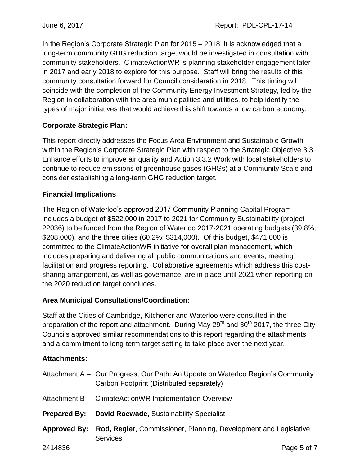In the Region's Corporate Strategic Plan for 2015 – 2018, it is acknowledged that a long-term community GHG reduction target would be investigated in consultation with community stakeholders. ClimateActionWR is planning stakeholder engagement later in 2017 and early 2018 to explore for this purpose. Staff will bring the results of this community consultation forward for Council consideration in 2018. This timing will coincide with the completion of the Community Energy Investment Strategy, led by the Region in collaboration with the area municipalities and utilities, to help identify the types of major initiatives that would achieve this shift towards a low carbon economy.

#### **Corporate Strategic Plan:**

This report directly addresses the Focus Area Environment and Sustainable Growth within the Region's Corporate Strategic Plan with respect to the Strategic Objective 3.3 Enhance efforts to improve air quality and Action 3.3.2 Work with local stakeholders to continue to reduce emissions of greenhouse gases (GHGs) at a Community Scale and consider establishing a long-term GHG reduction target.

#### **Financial Implications**

The Region of Waterloo's approved 2017 Community Planning Capital Program includes a budget of \$522,000 in 2017 to 2021 for Community Sustainability (project 22036) to be funded from the Region of Waterloo 2017-2021 operating budgets (39.8%; \$208,000), and the three cities (60.2%; \$314,000). Of this budget, \$471,000 is committed to the ClimateActionWR initiative for overall plan management, which includes preparing and delivering all public communications and events, meeting facilitation and progress reporting. Collaborative agreements which address this costsharing arrangement, as well as governance, are in place until 2021 when reporting on the 2020 reduction target concludes.

#### **Area Municipal Consultations/Coordination:**

Staff at the Cities of Cambridge, Kitchener and Waterloo were consulted in the preparation of the report and attachment. During May  $29<sup>th</sup>$  and  $30<sup>th</sup>$  2017, the three City Councils approved similar recommendations to this report regarding the attachments and a commitment to long-term target setting to take place over the next year.

#### **Attachments:**

|                     | Attachment A – Our Progress, Our Path: An Update on Waterloo Region's Community<br>Carbon Footprint (Distributed separately) |  |
|---------------------|------------------------------------------------------------------------------------------------------------------------------|--|
|                     | Attachment B - ClimateActionWR Implementation Overview                                                                       |  |
|                     | <b>Prepared By: David Roewade, Sustainability Specialist</b>                                                                 |  |
| <b>Approved By:</b> | Rod, Regier, Commissioner, Planning, Development and Legislative<br><b>Services</b>                                          |  |
| 2414836             | Page 5 of 7                                                                                                                  |  |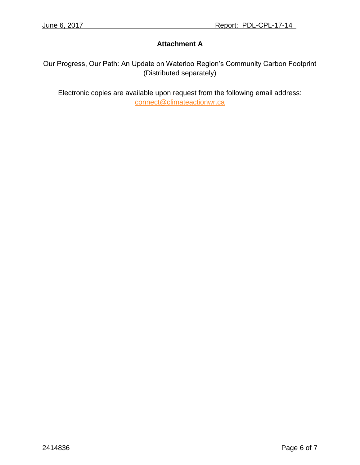### **Attachment A**

Our Progress, Our Path: An Update on Waterloo Region's Community Carbon Footprint (Distributed separately)

Electronic copies are available upon request from the following email address: [connect@climateactionwr.ca](mailto:connect@climateactionwr.ca)